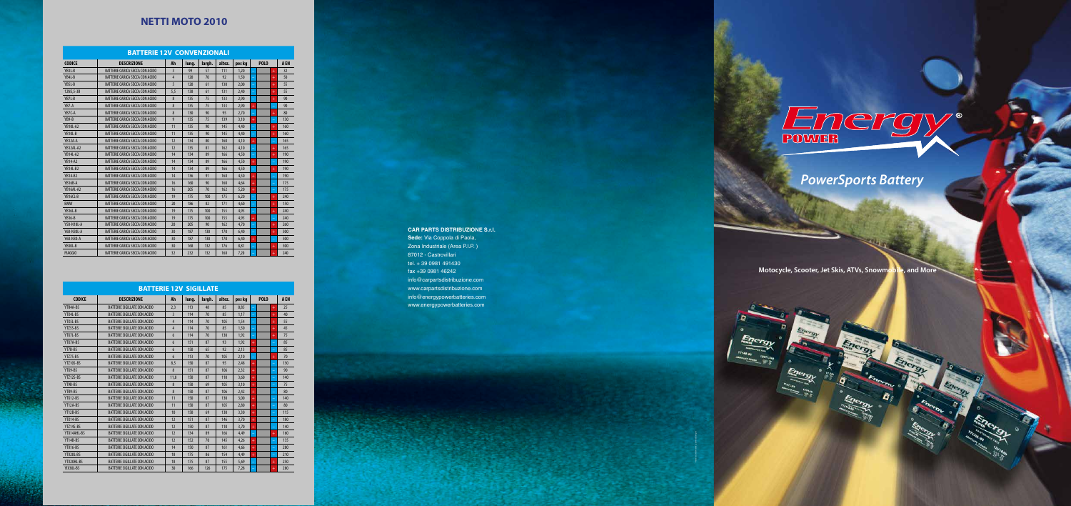Francesco Di Benedetto - grafimediadesign.it

#### **BATTERIE 12V CONVENZIONALI**

| <b>BATTERIE 12V CONVENZIONALI</b> |                                        |                |       |        |        |        |             |                |      |  |  |
|-----------------------------------|----------------------------------------|----------------|-------|--------|--------|--------|-------------|----------------|------|--|--|
| <b>CODICE</b>                     | <b>DESCRIZIONE</b>                     | Ah             | lung. | largh. | altez. | pes kg | <b>POLO</b> |                | A EN |  |  |
| YB3L-B                            | BATTERIE CARICA SECCA CON ACIDO        | 3              | 99    | 57     | 111    | 1,20   |             | $\ddot{}$      | 32   |  |  |
| YB4L-B                            | BATTERIE CARICA SECCA CON ACIDO        | $\overline{4}$ | 120   | 70     | 92     | 1,50   |             | $^{+}$         | 50   |  |  |
| YB5L-B                            | BATTERIE CARICA SECCA CON ACIDO        | 5              | 120   | 61     | 130    | 2,00   |             | $\overline{+}$ | 55   |  |  |
| 12N5,5-3B                         | BATTERIE CARICA SECCA CON ACIDO        | 5,5            | 138   | 61     | 131    | 2,40   |             | $^+$           | 55   |  |  |
| YB7L-B                            | <b>BATTERIE CARICA SECCA CON ACIDO</b> | 8              | 135   | 75     | 133    | 2,90   | ۳           | $\ddot{}$      | 90   |  |  |
| YB7-A                             | BATTERIE CARICA SECCA CON ACIDO        | 8              | 135   | 75     | 133    | 2,90   | $\ddot{}$   |                | 90   |  |  |
| YB7C-A                            | BATTERIE CARICA SECCA CON ACIDO        | 8              | 130   | 90     | 95     | 2.70   | ۳           | $\ddot{}$      | 80   |  |  |
| YB9-B                             | BATTERIE CARICA SECCA CON ACIDO        | 9              | 135   | 75     | 139    | 3,10   | $^{+}$      |                | 130  |  |  |
| <b>YB10L-A2</b>                   | BATTERIE CARICA SECCA CON ACIDO        | 11             | 135   | 90     | 145    | 4,40   |             | $\ddot{}$      | 160  |  |  |
| YB10L-B                           | BATTERIE CARICA SECCA CON ACIDO        | 11             | 135   | 90     | 145    | 4,40   |             | $\ddot{}$      | 160  |  |  |
| YB12A-A                           | BATTERIE CARICA SECCA CON ACIDO        | 12             | 134   | 80     | 160    | 4,10   | $^{+}$      |                | 165  |  |  |
| YB12AL-A2                         | <b>BATTERIE CARICA SECCA CON ACIDO</b> | 12             | 135   | 81     | 162    | 4,10   |             | $\ddot{}$      | 165  |  |  |
| <b>YB14L-A2</b>                   | BATTERIE CARICA SECCA CON ACIDO        | 14             | 134   | 89     | 166    | 4,50   | ÷           | $\ddot{}$      | 190  |  |  |
| <b>YB14-A2</b>                    | BATTERIE CARICA SECCA CON ACIDO        | 14             | 134   | 89     | 166    | 4,50   | $\ddot{}$   |                | 190  |  |  |
| <b>YB14L-B2</b>                   | BATTERIE CARICA SECCA CON ACIDO        | 14             | 134   | 89     | 166    | 4,50   | $\equiv$    | $\ddot{}$      | 190  |  |  |
| <b>YB14-B2</b>                    | <b>BATTERIE CARICA SECCA CON ACIDO</b> | 14             | 136   | 91     | 168    | 4,50   | $^{+}$      |                | 190  |  |  |
| YB16B-A                           | <b>BATTERIE CARICA SECCA CON ACIDO</b> | 16             | 160   | 90     | 160    | 4.64   | $\ddot{}$   |                | 175  |  |  |
| YB16AL-A2                         | BATTERIE CARICA SECCA CON ACIDO        | 16             | 205   | 70     | 162    | 5,20   | $^{+}$      |                | 175  |  |  |
| YB16CL-B                          | BATTERIE CARICA SECCA CON ACIDO        | 19             | 175   | 100    | 175    | 6,20   |             | $\ddot{}$      | 240  |  |  |
| <b>BMW</b>                        | BATTERIE CARICA SECCA CON ACIDO        | 20             | 186   | 82     | 171    | 4,60   |             | $\ddot{}$      | 150  |  |  |
| YB16L-B                           | <b>BATTERIE CARICA SECCA CON ACIDO</b> | 19             | 175   | 100    | 155    | 4,95   |             | $\ddot{}$      | 240  |  |  |
| <b>YB16-B</b>                     | BATTERIE CARICA SECCA CON ACIDO        | 19             | 175   | 100    | 155    | 4,95   | $\ddot{}$   |                | 240  |  |  |
| Y50-N18L-A                        | BATTERIE CARICA SECCA CON ACIDO        | 20             | 205   | 90     | 162    | 4,70   |             | $\ddot{}$      | 260  |  |  |
| Y60-N30L-A                        | <b>BATTERIE CARICA SECCA CON ACIDO</b> | 30             | 187   | 130    | 170    | 6.40   |             | $\ddot{}$      | 300  |  |  |
| Y60-N30-A                         | BATTERIE CARICA SECCA CON ACIDO        | 30             | 187   | 130    | 170    | 6,40   | $^{+}$      |                | 300  |  |  |
| YB30L-B                           | <b>BATTERIE CARICA SECCA CON ACIDO</b> | 30             | 168   | 132    | 176    | 8,81   |             |                | 300  |  |  |
| <b>PIAGGIO</b>                    | BATTERIE CARICA SECCA CON ACIDO        | 32             | 232   | 132    | 168    | 7,20   |             |                | 240  |  |  |

# **NETTI MOTO 2010**

**BATTERIE 12V SIGILLATE**

| <b>CODICE</b>    | <b>DESCRIZIONE</b>                  | Ah              | lung. | largh. | altez. | pes kg | <b>POLO</b> |  | A EN      |     |
|------------------|-------------------------------------|-----------------|-------|--------|--------|--------|-------------|--|-----------|-----|
| YTR4A-BS         | BATTERIE SIGILLATE CON ACIDO        | 2.3             | 113   | 48     | 85     | 0.85   |             |  | $+$       | 25  |
| YTX4L-BS         | BATTERIE SIGILLATE CON ACIDO        | $\overline{3}$  | 114   | 70     | 85     | 1,17   | $\equiv$    |  | $^{+}$    | 40  |
| YTX5L-BS         | BATTERIE SIGILLATE CON ACIDO        | $\overline{4}$  | 114   | 70     | 105    | 1.54   | $\equiv$    |  | $^{+}$    | 55  |
| YTZ5S-BS         | BATTERIE SIGILLATE CON ACIDO        | $\overline{4}$  | 114   | 70     | 85     | 1.50   | ۰           |  | $+$       | 45  |
| YTX7L-BS         | <b>BATTERIE SIGILLATE CON ACIDO</b> | 6               | 114   | 70     | 130    | 1,92   | ÷           |  | $+$       | 75  |
| YTX7A-BS         | BATTERIE SIGILLATE CON ACIDO        | 6               | 151   | 87     | 93     | 1.92   | $+$         |  | ۳         | 85  |
| YT7B-BS          | BATTERIE SIGILLATE CON ACIDO        | 6               | 150   | 65     | 92     | 2.13   | $+$         |  | ٢         | 85  |
| YTZ7S-BS         | BATTERIE SIGILLATE CON ACIDO        | $6\overline{6}$ | 113   | 70     | 105    | 2.10   | ٠           |  | $\ddot{}$ | 70  |
| YTZ10S-BS        | BATTERIE SIGILLATE CON ACIDO        | 8,5             | 150   | 87     | 95     | 2,48   | $^{+}$      |  | ٢         | 130 |
| YTX9-BS          | <b>BATTERIE SIGILLATE CON ACIDO</b> | 8               | 151   | 87     | 106    | 2.32   | $+$         |  | ۳         | 90  |
| <b>YTZ12S-BS</b> | <b>BATTERIE SIGILLATE CON ACIDO</b> | 11,0            | 150   | 87     | 110    | 3,60   | $^{+}$      |  | ۳         | 140 |
| YT9B-BS          | <b>BATTERIE SIGILLATE CON ACIDO</b> | 8               | 150   | 69     | 105    | 3,10   | $+$         |  | ٢         | 75  |
| YTR9-BS          | <b>BATTERIE SIGILLATE CON ACIDO</b> | 8               | 150   | 87     | 106    | 2,42   | $+$         |  | $\equiv$  | 80  |
| YTX12-BS         | <b>BATTERIE SIGILLATE CON ACIDO</b> | 11              | 150   | 87     | 130    | 3.00   | $+$         |  | ٢         | 140 |
| YT12A-BS         | <b>BATTERIE SIGILLATE CON ACIDO</b> | 11              | 150   | 87     | 105    | 2,80   | $+$         |  | ÷         | 80  |
| YT12B-BS         | BATTERIE SIGILLATE CON ACIDO        | 10              | 150   | 69     | 130    | 3,30   | $^{+}$      |  | ۳         | 115 |
| YTX14-BS         | BATTERIE SIGILLATE CON ACIDO        | 12              | 151   | 87     | 146    | 3,70   | $^{+}$      |  | ۳         | 180 |
| YTZ14S-BS        | <b>BATTERIE SIGILLATE CON ACIDO</b> | 12              | 150   | 87     | 110    | 3,70   | $+$         |  | -         | 140 |
| YTX14AHL-BS      | BATTERIE SIGILLATE CON ACIDO        | 12              | 134   | 89     | 166    | 4,49   |             |  | $^{+}$    | 160 |
| YT14B-BS         | <b>BATTERIE SIGILLATE CON ACIDO</b> | 12              | 152   | 70     | 145    | 4,26   | $+$         |  | $\equiv$  | 135 |
| <b>YTX16-BS</b>  | BATTERIE SIGILLATE CON ACIDO        | 14              | 150   | 87     | 161    | 4,66   | $+$         |  | ۳         | 200 |
| YTX20L-BS        | BATTERIE SIGILLATE CON ACIDO        | 18              | 175   | 86     | 154    | 4,49   | $+$         |  | ۳         | 210 |
| YTX20HL-BS       | BATTERIE SIGILLATE CON ACIDO        | 18              | 175   | 87     | 155    | 5.69   |             |  | $+$       | 250 |

YIX30L-BS | BATTERIE SIGILLATE CON ACIDO | 30 | 166 | 126 | 175 | 7,28 <mark>| – | | +</mark> 280

# **CAR PARTS DISTRIBUZIONE S.r.l.**

**Sede:** Via Coppola di Paola, Zona Industriale (Area P.I.P. ) 87012 - Castrovillari tel. + 39 0981 491430 fax +39 0981 46242 info@carpartsdistribuzione.com www.carpartsdistribuzione.com info@energypowerbatteries.com www.energypowerbatteries.com



# *PowerSports Battery*

**Motocycle, Scooter, Jet Skis, ATVs, Snowmobile, and More**